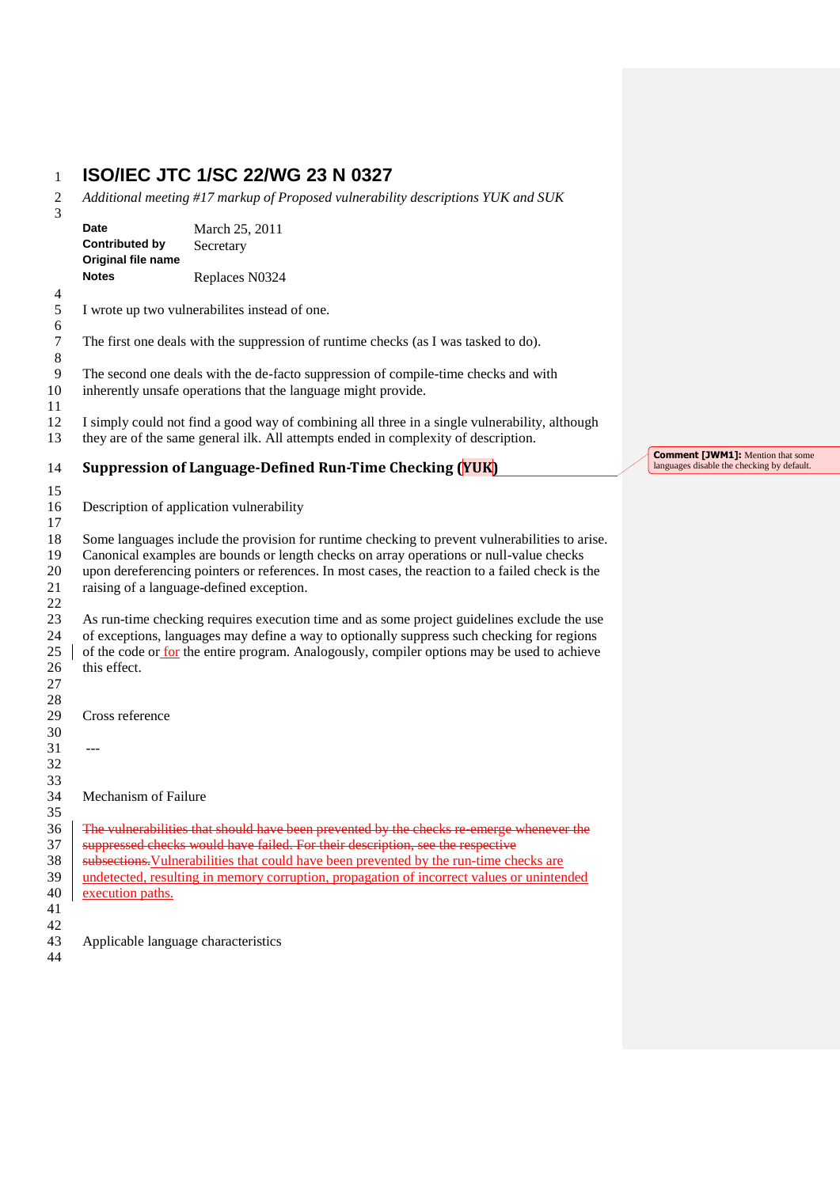## **ISO/IEC JTC 1/SC 22/WG 23 N 0327**

 *Additional meeting #17 markup of Proposed vulnerability descriptions YUK and SUK*  $\frac{2}{3}$ 

| J                          | Date<br><b>Contributed by</b><br>Original file name<br><b>Notes</b>                                                                                                                                                                                                                                                                      | March 25, 2011<br>Secretary                                                                                                                                                                                                                                                              |                                                                                        |
|----------------------------|------------------------------------------------------------------------------------------------------------------------------------------------------------------------------------------------------------------------------------------------------------------------------------------------------------------------------------------|------------------------------------------------------------------------------------------------------------------------------------------------------------------------------------------------------------------------------------------------------------------------------------------|----------------------------------------------------------------------------------------|
|                            |                                                                                                                                                                                                                                                                                                                                          | Replaces N0324                                                                                                                                                                                                                                                                           |                                                                                        |
| 4<br>5<br>6                |                                                                                                                                                                                                                                                                                                                                          | I wrote up two vulnerabilites instead of one.                                                                                                                                                                                                                                            |                                                                                        |
| 7<br>8                     | The first one deals with the suppression of runtime checks (as I was tasked to do).                                                                                                                                                                                                                                                      |                                                                                                                                                                                                                                                                                          |                                                                                        |
| 9<br>10                    | The second one deals with the de-facto suppression of compile-time checks and with<br>inherently unsafe operations that the language might provide.                                                                                                                                                                                      |                                                                                                                                                                                                                                                                                          |                                                                                        |
| 11<br>12<br>13             | I simply could not find a good way of combining all three in a single vulnerability, although<br>they are of the same general ilk. All attempts ended in complexity of description.                                                                                                                                                      |                                                                                                                                                                                                                                                                                          |                                                                                        |
| 14                         |                                                                                                                                                                                                                                                                                                                                          | Suppression of Language-Defined Run-Time Checking (YUK)                                                                                                                                                                                                                                  | <b>Comment [JWM1]:</b> Mention that some<br>languages disable the checking by default. |
| 15<br>16<br>17             |                                                                                                                                                                                                                                                                                                                                          | Description of application vulnerability                                                                                                                                                                                                                                                 |                                                                                        |
| 18<br>19<br>20<br>21<br>22 | Some languages include the provision for runtime checking to prevent vulnerabilities to arise.<br>Canonical examples are bounds or length checks on array operations or null-value checks<br>upon dereferencing pointers or references. In most cases, the reaction to a failed check is the<br>raising of a language-defined exception. |                                                                                                                                                                                                                                                                                          |                                                                                        |
| 23<br>24<br>25<br>26<br>27 | this effect.                                                                                                                                                                                                                                                                                                                             | As run-time checking requires execution time and as some project guidelines exclude the use<br>of exceptions, languages may define a way to optionally suppress such checking for regions<br>of the code or for the entire program. Analogously, compiler options may be used to achieve |                                                                                        |
| 28<br>29                   | Cross reference                                                                                                                                                                                                                                                                                                                          |                                                                                                                                                                                                                                                                                          |                                                                                        |
| 30                         |                                                                                                                                                                                                                                                                                                                                          |                                                                                                                                                                                                                                                                                          |                                                                                        |
| 31<br>32<br>33             | $---$                                                                                                                                                                                                                                                                                                                                    |                                                                                                                                                                                                                                                                                          |                                                                                        |
| 34<br>35                   | Mechanism of Failure                                                                                                                                                                                                                                                                                                                     |                                                                                                                                                                                                                                                                                          |                                                                                        |
| 36                         |                                                                                                                                                                                                                                                                                                                                          | The vulnerabilities that should have been prevented by the checks re-emerge whenever the                                                                                                                                                                                                 |                                                                                        |
| 37                         |                                                                                                                                                                                                                                                                                                                                          | suppressed checks would have failed. For their description, see the respective                                                                                                                                                                                                           |                                                                                        |
| 38                         |                                                                                                                                                                                                                                                                                                                                          | subsections. Vulnerabilities that could have been prevented by the run-time checks are                                                                                                                                                                                                   |                                                                                        |
| 39                         |                                                                                                                                                                                                                                                                                                                                          | undetected, resulting in memory corruption, propagation of incorrect values or unintended                                                                                                                                                                                                |                                                                                        |
| 40                         | execution paths.                                                                                                                                                                                                                                                                                                                         |                                                                                                                                                                                                                                                                                          |                                                                                        |
| 41<br>42                   |                                                                                                                                                                                                                                                                                                                                          |                                                                                                                                                                                                                                                                                          |                                                                                        |
| 43                         | Applicable language characteristics                                                                                                                                                                                                                                                                                                      |                                                                                                                                                                                                                                                                                          |                                                                                        |
| 44                         |                                                                                                                                                                                                                                                                                                                                          |                                                                                                                                                                                                                                                                                          |                                                                                        |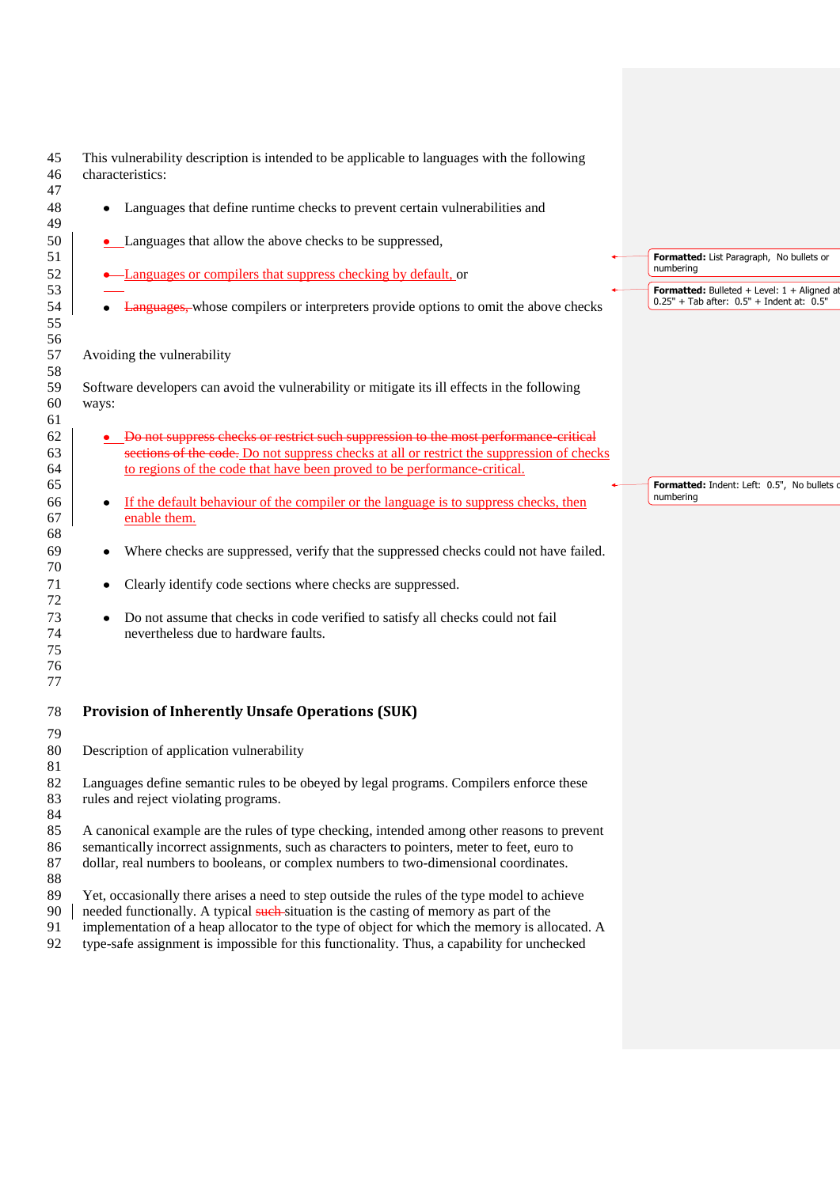| 45<br>46<br>47             | This vulnerability description is intended to be applicable to languages with the following<br>characteristics:                                                                                                                                                                                                                                                                       |                                                            |  |  |  |
|----------------------------|---------------------------------------------------------------------------------------------------------------------------------------------------------------------------------------------------------------------------------------------------------------------------------------------------------------------------------------------------------------------------------------|------------------------------------------------------------|--|--|--|
| 48<br>49                   | Languages that define runtime checks to prevent certain vulnerabilities and<br>$\bullet$                                                                                                                                                                                                                                                                                              |                                                            |  |  |  |
| 50<br>51                   | • Languages that allow the above checks to be suppressed,                                                                                                                                                                                                                                                                                                                             | Formatted: List Paragraph, No bullets or                   |  |  |  |
| 52<br>53                   | • Languages or compilers that suppress checking by default, or                                                                                                                                                                                                                                                                                                                        | numbering<br>Formatted: Bulleted + Level: $1 +$ Aligned at |  |  |  |
| 54<br>55                   | • Languages, whose compilers or interpreters provide options to omit the above checks                                                                                                                                                                                                                                                                                                 | $0.25" + Tab$ after: $0.5" + Indent$ at: $0.5"$            |  |  |  |
| 56<br>57<br>58             | Avoiding the vulnerability                                                                                                                                                                                                                                                                                                                                                            |                                                            |  |  |  |
| 59<br>60<br>61             | Software developers can avoid the vulnerability or mitigate its ill effects in the following<br>ways:                                                                                                                                                                                                                                                                                 |                                                            |  |  |  |
| 62<br>63<br>64             | Do not suppress checks or restrict such suppression to the most performance critical<br>sections of the code. Do not suppress checks at all or restrict the suppression of checks<br>to regions of the code that have been proved to be performance-critical.                                                                                                                         |                                                            |  |  |  |
| 65<br>66<br>67<br>68       | If the default behaviour of the compiler or the language is to suppress checks, then<br>enable them.                                                                                                                                                                                                                                                                                  | Formatted: Indent: Left: 0.5", No bullets o<br>numbering   |  |  |  |
| 69<br>70                   | Where checks are suppressed, verify that the suppressed checks could not have failed.<br>٠                                                                                                                                                                                                                                                                                            |                                                            |  |  |  |
| 71<br>72                   | Clearly identify code sections where checks are suppressed.<br>٠                                                                                                                                                                                                                                                                                                                      |                                                            |  |  |  |
| 73<br>74<br>75<br>76<br>77 | Do not assume that checks in code verified to satisfy all checks could not fail<br>$\bullet$<br>nevertheless due to hardware faults.                                                                                                                                                                                                                                                  |                                                            |  |  |  |
| 78                         | <b>Provision of Inherently Unsafe Operations (SUK)</b>                                                                                                                                                                                                                                                                                                                                |                                                            |  |  |  |
| 79<br>80<br>81             | Description of application vulnerability                                                                                                                                                                                                                                                                                                                                              |                                                            |  |  |  |
| 82<br>83<br>84             | Languages define semantic rules to be obeyed by legal programs. Compilers enforce these<br>rules and reject violating programs.                                                                                                                                                                                                                                                       |                                                            |  |  |  |
| 85<br>86<br>$87\,$<br>88   | A canonical example are the rules of type checking, intended among other reasons to prevent<br>semantically incorrect assignments, such as characters to pointers, meter to feet, euro to<br>dollar, real numbers to booleans, or complex numbers to two-dimensional coordinates.                                                                                                     |                                                            |  |  |  |
| 89<br>90<br>91<br>92       | Yet, occasionally there arises a need to step outside the rules of the type model to achieve<br>needed functionally. A typical such situation is the casting of memory as part of the<br>implementation of a heap allocator to the type of object for which the memory is allocated. A<br>type-safe assignment is impossible for this functionality. Thus, a capability for unchecked |                                                            |  |  |  |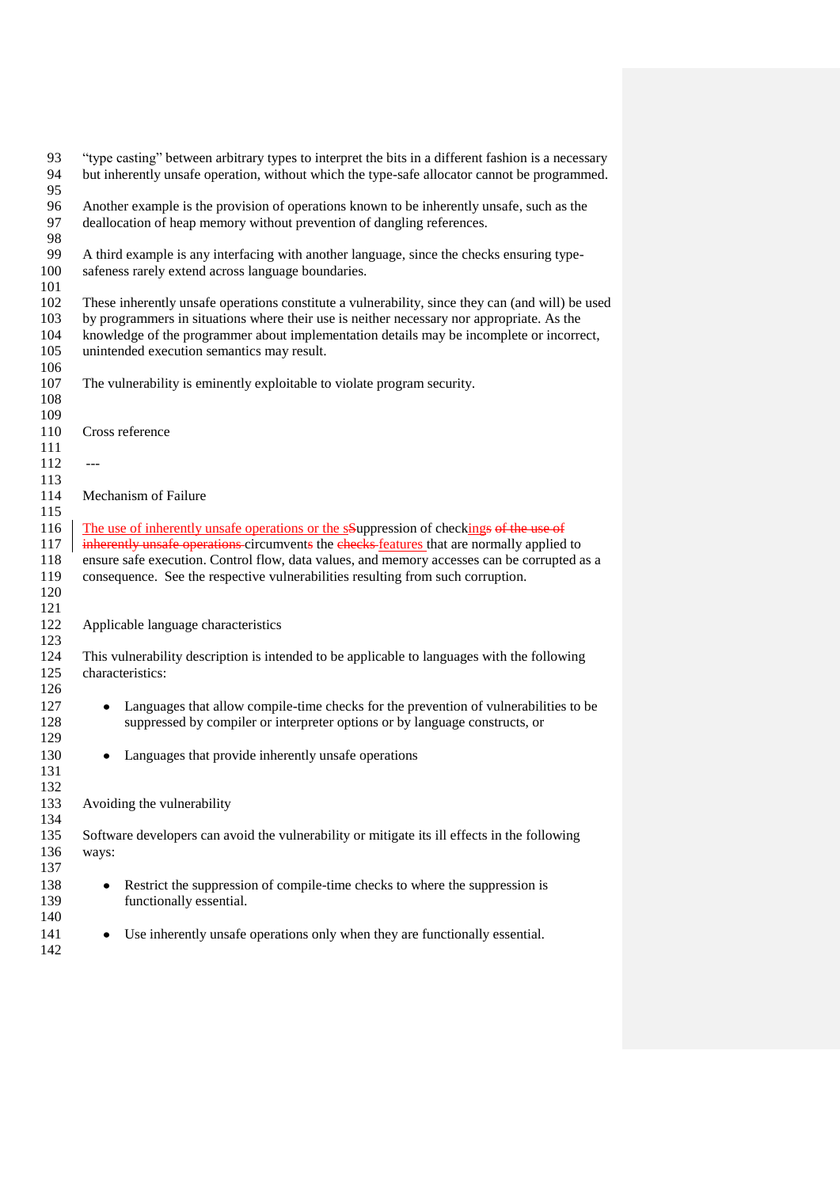| 93<br>94<br>95 | "type casting" between arbitrary types to interpret the bits in a different fashion is a necessary<br>but inherently unsafe operation, without which the type-safe allocator cannot be programmed. |  |  |
|----------------|----------------------------------------------------------------------------------------------------------------------------------------------------------------------------------------------------|--|--|
| 96<br>97       | Another example is the provision of operations known to be inherently unsafe, such as the<br>deallocation of heap memory without prevention of dangling references.                                |  |  |
| 98             |                                                                                                                                                                                                    |  |  |
| 99             | A third example is any interfacing with another language, since the checks ensuring type-                                                                                                          |  |  |
| 100            | safeness rarely extend across language boundaries.                                                                                                                                                 |  |  |
| 101            |                                                                                                                                                                                                    |  |  |
| 102            | These inherently unsafe operations constitute a vulnerability, since they can (and will) be used                                                                                                   |  |  |
| 103            | by programmers in situations where their use is neither necessary nor appropriate. As the                                                                                                          |  |  |
| 104            | knowledge of the programmer about implementation details may be incomplete or incorrect,                                                                                                           |  |  |
| 105            | unintended execution semantics may result.                                                                                                                                                         |  |  |
| 106            |                                                                                                                                                                                                    |  |  |
| 107            | The vulnerability is eminently exploitable to violate program security.                                                                                                                            |  |  |
| 108            |                                                                                                                                                                                                    |  |  |
| 109            |                                                                                                                                                                                                    |  |  |
| 110            | Cross reference                                                                                                                                                                                    |  |  |
| 111            |                                                                                                                                                                                                    |  |  |
| 112            | $---$                                                                                                                                                                                              |  |  |
| 113            |                                                                                                                                                                                                    |  |  |
| 114            | Mechanism of Failure                                                                                                                                                                               |  |  |
| 115            |                                                                                                                                                                                                    |  |  |
| 116            | The use of inherently unsafe operations or the sSuppression of checkings of the use of                                                                                                             |  |  |
| 117            | inherently unsafe operations circumvents the checks features that are normally applied to                                                                                                          |  |  |
| 118            | ensure safe execution. Control flow, data values, and memory accesses can be corrupted as a                                                                                                        |  |  |
| 119            | consequence. See the respective vulnerabilities resulting from such corruption.                                                                                                                    |  |  |
| 120            |                                                                                                                                                                                                    |  |  |
| 121<br>122     |                                                                                                                                                                                                    |  |  |
| 123            | Applicable language characteristics                                                                                                                                                                |  |  |
| 124            |                                                                                                                                                                                                    |  |  |
| 125            | This vulnerability description is intended to be applicable to languages with the following<br>characteristics:                                                                                    |  |  |
| 126            |                                                                                                                                                                                                    |  |  |
| 127            | Languages that allow compile-time checks for the prevention of vulnerabilities to be<br>$\bullet$                                                                                                  |  |  |
| 128            | suppressed by compiler or interpreter options or by language constructs, or                                                                                                                        |  |  |
| 129            |                                                                                                                                                                                                    |  |  |
| 130            | Languages that provide inherently unsafe operations<br>٠                                                                                                                                           |  |  |
| 131            |                                                                                                                                                                                                    |  |  |
| 132            |                                                                                                                                                                                                    |  |  |
| 133            | Avoiding the vulnerability                                                                                                                                                                         |  |  |
| 134            |                                                                                                                                                                                                    |  |  |
| 135            | Software developers can avoid the vulnerability or mitigate its ill effects in the following                                                                                                       |  |  |
| 136            | ways:                                                                                                                                                                                              |  |  |
| 137            |                                                                                                                                                                                                    |  |  |
| 138            | Restrict the suppression of compile-time checks to where the suppression is<br>$\bullet$                                                                                                           |  |  |
| 139            | functionally essential.                                                                                                                                                                            |  |  |
| 140            |                                                                                                                                                                                                    |  |  |
| 141            | Use inherently unsafe operations only when they are functionally essential.                                                                                                                        |  |  |
| 142            |                                                                                                                                                                                                    |  |  |